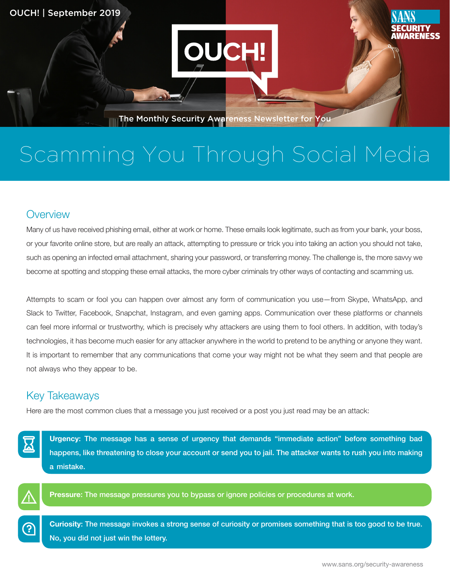

# Scamming You Through Social Media

### **Overview**

Many of us have received phishing email, either at work or home. These emails look legitimate, such as from your bank, your boss, or your favorite online store, but are really an attack, attempting to pressure or trick you into taking an action you should not take, such as opening an infected email attachment, sharing your password, or transferring money. The challenge is, the more savvy we become at spotting and stopping these email attacks, the more cyber criminals try other ways of contacting and scamming us.

Attempts to scam or fool you can happen over almost any form of communication you use–from Skype, WhatsApp, and Slack to Twitter, Facebook, Snapchat, Instagram, and even gaming apps. Communication over these platforms or channels can feel more informal or trustworthy, which is precisely why attackers are using them to fool others. In addition, with today's technologies, it has become much easier for any attacker anywhere in the world to pretend to be anything or anyone they want. It is important to remember that any communications that come your way might not be what they seem and that people are not always who they appear to be.

## **Key Takeaways**

Here are the most common clues that a message you just received or a post you just read may be an attack:





ၣ

Pressure: The message pressures you to bypass or ignore policies or procedures at work.

Curiosity: The message invokes a strong sense of curiosity or promises something that is too good to be true. No, you did not just win the lottery.